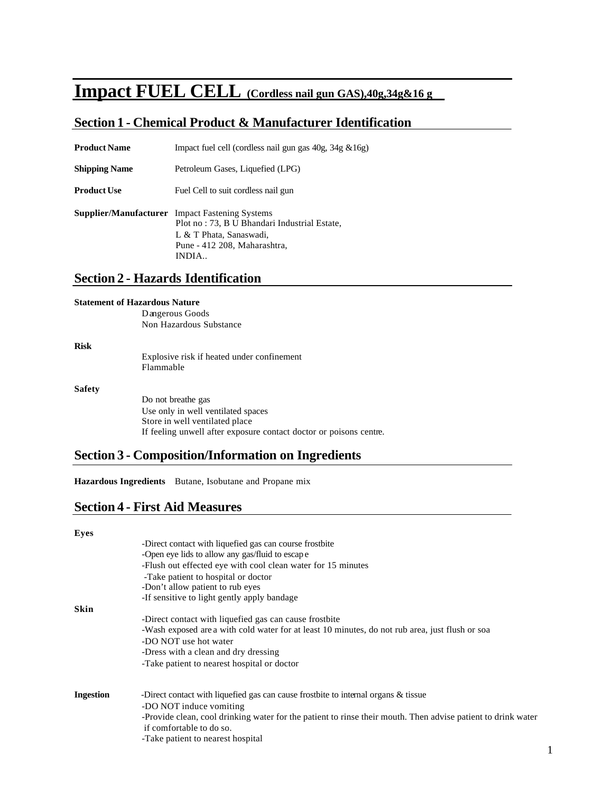# **Impact FUEL CELL (Cordless nail gun GAS),40g,34g&16 g**

# **Section 1 - Chemical Product & Manufacturer Identification**

| <b>Product Name</b>  | Impact fuel cell (cordless nail gun gas $40g$ , $34g \& 16g$ )                                                                                                            |  |
|----------------------|---------------------------------------------------------------------------------------------------------------------------------------------------------------------------|--|
| <b>Shipping Name</b> | Petroleum Gases, Liquefied (LPG)                                                                                                                                          |  |
| <b>Product Use</b>   | Fuel Cell to suit cordless nail gun                                                                                                                                       |  |
|                      | <b>Supplier/Manufacturer</b> Impact Fastening Systems<br>Plot no: 73, B U Bhandari Industrial Estate,<br>L & T Phata, Sanaswadi,<br>Pune - 412 208, Maharashtra,<br>INDIA |  |

# **Section 2 - Hazards Identification**

#### **Statement of Hazardous Nature**

Dangerous Goods Non Hazardous Substance

**Risk**

Explosive risk if heated under confinement Flammable

**Safety**

Do not breathe gas Use only in well ventilated spaces Store in well ventilated place If feeling unwell after exposure contact doctor or poisons centre.

## **Section 3 - Composition/Information on Ingredients**

**Hazardous Ingredients** Butane, Isobutane and Propane mix

### **Section 4 - First Aid Measures**

| Eyes             |                                                                                                              |  |
|------------------|--------------------------------------------------------------------------------------------------------------|--|
|                  | -Direct contact with liquefied gas can course frostbite                                                      |  |
|                  | -Open eye lids to allow any gas/fluid to escape                                                              |  |
|                  | -Flush out effected eye with cool clean water for 15 minutes                                                 |  |
|                  | -Take patient to hospital or doctor                                                                          |  |
|                  | -Don't allow patient to rub eyes                                                                             |  |
|                  | -If sensitive to light gently apply bandage                                                                  |  |
| Skin             |                                                                                                              |  |
|                  | -Direct contact with liquefied gas can cause frostbite                                                       |  |
|                  | -Wash exposed are a with cold water for at least 10 minutes, do not rub area, just flush or soa              |  |
|                  | -DO NOT use hot water                                                                                        |  |
|                  | -Dress with a clean and dry dressing                                                                         |  |
|                  | -Take patient to nearest hospital or doctor                                                                  |  |
| <b>Ingestion</b> | -Direct contact with liquefied gas can cause frostbite to internal organs & tissue                           |  |
|                  | -DO NOT induce vomiting                                                                                      |  |
|                  | -Provide clean, cool drinking water for the patient to rinse their mouth. Then advise patient to drink water |  |
|                  | if comfortable to do so.                                                                                     |  |
|                  | -Take patient to nearest hospital                                                                            |  |
|                  |                                                                                                              |  |
|                  |                                                                                                              |  |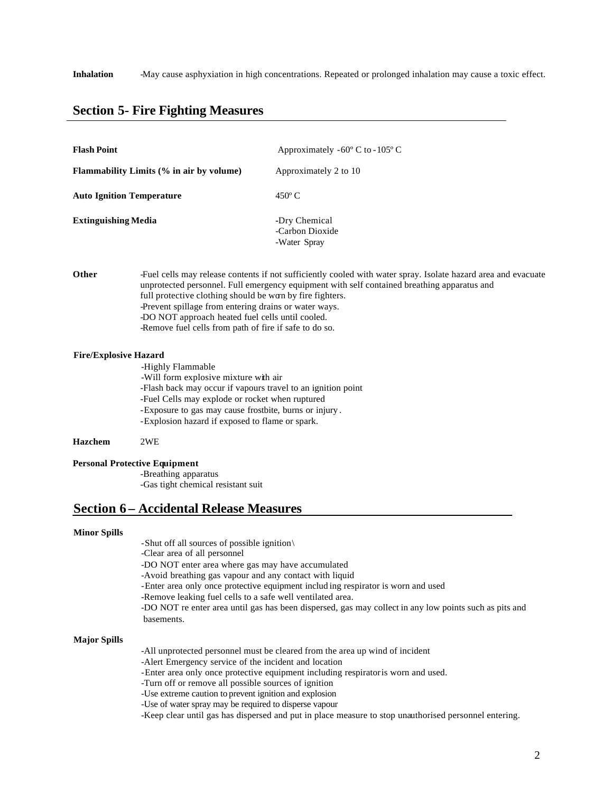### **Section 5- Fire Fighting Measures**

| <b>Flash Point</b>                                                                  |                                                                                                                                                                        | Approximately $-60^{\circ}$ C to $-105^{\circ}$ C                                                                                                                                                             |                     |
|-------------------------------------------------------------------------------------|------------------------------------------------------------------------------------------------------------------------------------------------------------------------|---------------------------------------------------------------------------------------------------------------------------------------------------------------------------------------------------------------|---------------------|
| <b>Flammability Limits (% in air by volume)</b><br><b>Auto Ignition Temperature</b> |                                                                                                                                                                        | Approximately 2 to 10<br>$450^{\circ}$ C                                                                                                                                                                      |                     |
|                                                                                     |                                                                                                                                                                        |                                                                                                                                                                                                               | Extinguishing Media |
| Other                                                                               | full protective clothing should be worn by fire fighters.<br>-Prevent spillage from entering drains or water ways.<br>-DO NOT approach heated fuel cells until cooled. | -Fuel cells may release contents if not sufficiently cooled with water spray. Isolate hazard area and evacuate<br>unprotected personnel. Full emergency equipment with self contained breathing apparatus and |                     |

-Remove fuel cells from path of fire if safe to do so.

#### **Fire/Explosive Hazard**

-Highly Flammable -Will form explosive mixture with air -Flash back may occur if vapours travel to an ignition point -Fuel Cells may explode or rocket when ruptured -Exposure to gas may cause frostbite, burns or injury . -Explosion hazard if exposed to flame or spark.

**Hazchem** 2WE

#### **Personal Protective Equipment**

-Breathing apparatus -Gas tight chemical resistant suit

### **Section 6 – Accidental Release Measures**

#### **Minor Spills**

-Shut off all sources of possible ignition\

-Clear area of all personnel

-DO NOT enter area where gas may have accumulated

- -Avoid breathing gas vapour and any contact with liquid
- -Enter area only once protective equipment includ ing respirator is worn and used
- -Remove leaking fuel cells to a safe well ventilated area.

-DO NOT re enter area until gas has been dispersed, gas may collect in any low points such as pits and basements.

#### **Major Spills**

- -All unprotected personnel must be cleared from the area up wind of incident
- -Alert Emergency service of the incident and location
- -Enter area only once protective equipment including respirator is worn and used.
- -Turn off or remove all possible sources of ignition
- -Use extreme caution to prevent ignition and explosion
- -Use of water spray may be required to disperse vapour
- -Keep clear until gas has dispersed and put in place measure to stop unauthorised personnel entering.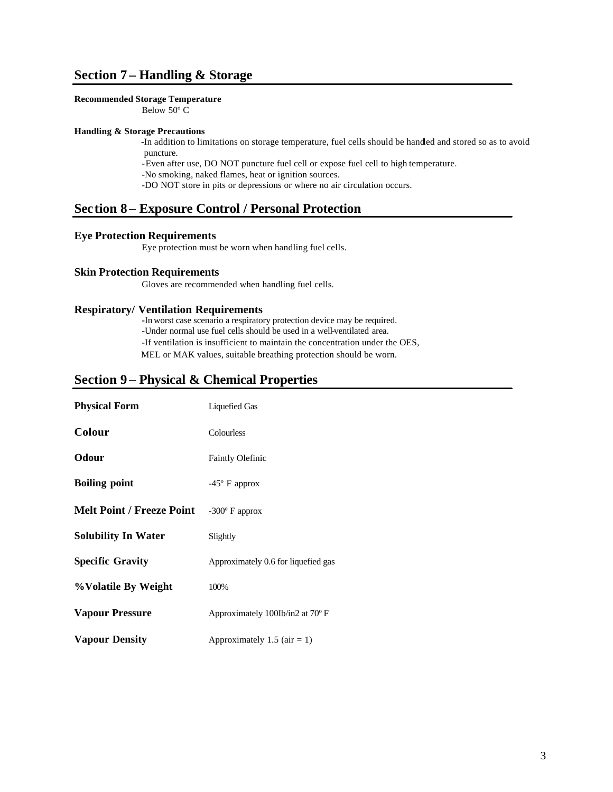# **Section 7 – Handling & Storage**

#### **Recommended Storage Temperature**

Below 50º C

#### **Handling & Storage Precautions**

**-**In addition to limitations on storage temperature, fuel cells should be handled and stored so as to avoid puncture.

-Even after use, DO NOT puncture fuel cell or expose fuel cell to high temperature.

-No smoking, naked flames, heat or ignition sources.

-DO NOT store in pits or depressions or where no air circulation occurs.

### **Section 8 – Exposure Control / Personal Protection**

### **Eye Protection Requirements**

Eye protection must be worn when handling fuel cells.

#### **Skin Protection Requirements**

Gloves are recommended when handling fuel cells.

#### **Respiratory/ Ventilation Requirements**

**-**In worst case scenario a respiratory protection device may be required. -Under normal use fuel cells should be used in a well-ventilated area. -If ventilation is insufficient to maintain the concentration under the OES, MEL or MAK values, suitable breathing protection should be worn.

### **Section 9 – Physical & Chemical Properties**

| <b>Physical Form</b>             | <b>Liquefied Gas</b>                |
|----------------------------------|-------------------------------------|
| Colour                           | Colourless                          |
| Odour                            | <b>Faintly Olefinic</b>             |
| <b>Boiling point</b>             | $-45^{\circ}$ F approx              |
| <b>Melt Point / Freeze Point</b> | $-300^{\circ}$ F approx             |
| <b>Solubility In Water</b>       | Slightly                            |
| <b>Specific Gravity</b>          | Approximately 0.6 for liquefied gas |
| %Volatile By Weight              | 100%                                |
| <b>Vapour Pressure</b>           | Approximately 100Ib/in2 at 70°F     |
| <b>Vapour Density</b>            | Approximately 1.5 (air = 1)         |